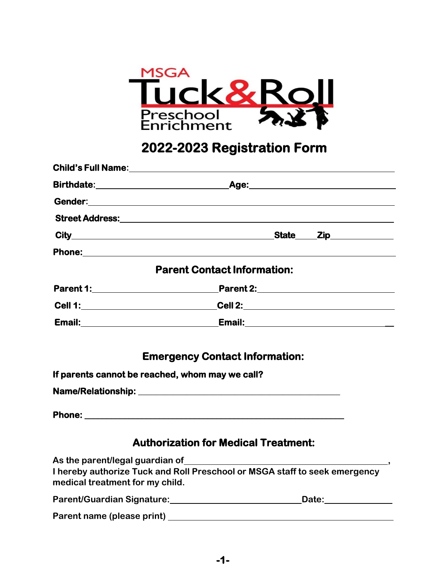

# **2022-2023 Registration Form**

|                                                 | <b>Parent Contact Information:</b>                                                                                                    |
|-------------------------------------------------|---------------------------------------------------------------------------------------------------------------------------------------|
|                                                 |                                                                                                                                       |
|                                                 |                                                                                                                                       |
|                                                 |                                                                                                                                       |
|                                                 | <b>Emergency Contact Information:</b>                                                                                                 |
| If parents cannot be reached, whom may we call? |                                                                                                                                       |
|                                                 |                                                                                                                                       |
|                                                 |                                                                                                                                       |
|                                                 | <b>Authorization for Medical Treatment:</b>                                                                                           |
| medical treatment for my child.                 | As the parent/legal guardian of<br>I hereby authorize Tuck and Roll Preschool or MSGA staff to seek emergency                         |
|                                                 | Parent/Guardian Signature: 2008 2010 2020 2021 2022 2023 2024 2022 2023 2024 2022 2023 2024 2022 2023 2024 20<br>Date: ______________ |
|                                                 |                                                                                                                                       |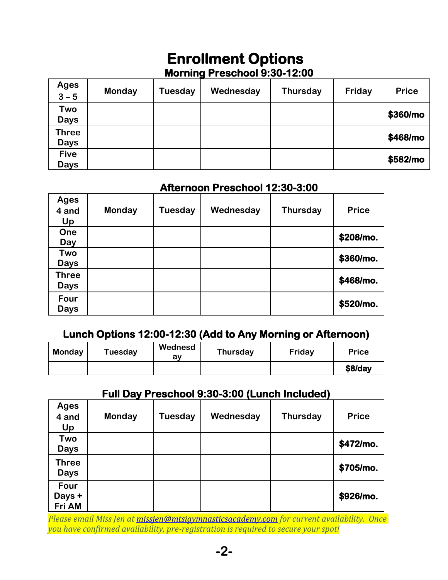# **Enrollment Options**

## **Morning Preschool 9:30-12:00**

| <b>Ages</b><br>$3 - 5$      | <b>Monday</b> | Tuesday | Wednesday | <b>Thursday</b> | Friday | <b>Price</b> |
|-----------------------------|---------------|---------|-----------|-----------------|--------|--------------|
| Two<br><b>Days</b>          |               |         |           |                 |        | \$360/mo     |
| <b>Three</b><br><b>Days</b> |               |         |           |                 |        | \$468/mo     |
| <b>Five</b><br><b>Days</b>  |               |         |           |                 |        | \$582/mo     |

#### **Afternoon Preschool 12:30-3:00**

| <b>Ages</b><br>4 and<br>Up | <b>Monday</b> | Tuesday | Wednesday | <b>Thursday</b> | <b>Price</b> |
|----------------------------|---------------|---------|-----------|-----------------|--------------|
| One                        |               |         |           |                 | \$208/mo.    |
| Day                        |               |         |           |                 |              |
| Two                        |               |         |           |                 | \$360/mo.    |
| <b>Days</b>                |               |         |           |                 |              |
| <b>Three</b>               |               |         |           |                 | \$468/mo.    |
| <b>Days</b>                |               |         |           |                 |              |
| Four<br><b>Days</b>        |               |         |           |                 | \$520/mo.    |

#### **Lunch Options 12:00-12:30 (Add to Any Morning or Afternoon)**

| <b>Monday</b> | Tuesday | Wednesd<br>av | <b>Thursday</b> | Friday | <b>Price</b> |
|---------------|---------|---------------|-----------------|--------|--------------|
|               |         |               |                 |        | $$8$ /day    |

### **Full Day Preschool 9:30-3:00 (Lunch Included)**

| <b>Ages</b><br>4 and<br>Up  | <b>Monday</b> | <b>Tuesday</b> | Wednesday | <b>Thursday</b> | <b>Price</b> |
|-----------------------------|---------------|----------------|-----------|-----------------|--------------|
| Two<br><b>Days</b>          |               |                |           |                 | \$472/mo.    |
| <b>Three</b><br><b>Days</b> |               |                |           |                 | \$705/mo.    |
| Four<br>Days +<br>Fri AM    |               |                |           |                 | \$926/mo.    |

*Please email Miss Jen at [missjen@mtsigymnasticsacademy.com](mailto:missjen@mtsigymnasticsacademy.com) for current availability. Once you have confirmed availability, pre-registration is required to secure your spot!*